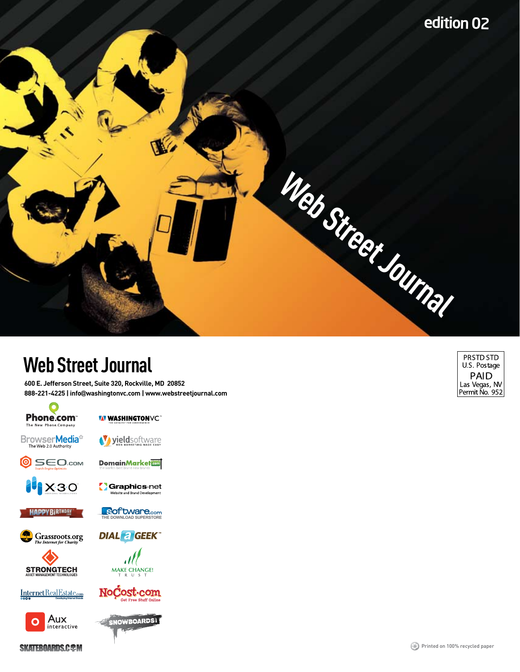

## **Web Street Journal**

**600 E. Jefferson Street, Suite 320, Rockville, MD 20852 888-221-4225 | info**@**washingtonvc.com | www.webstreetjournal.com** 



**WASHINGTONVC**\*

Browser**Media**<sup><sup>23</sup></sup>

Vyieldsoftware

**DomainMarket** 

**THE OF TWARE** COM

**DIAL a GEEK** 

**SEO.com** 0 **IR**X30

Graphics-net ebsite and Brand Development

**HAPPYBIRTHDAY** 





Internet Real Estate.com



MAKE CHANGE!

Aux interactive



**SKATEBOARDS.C&M** 

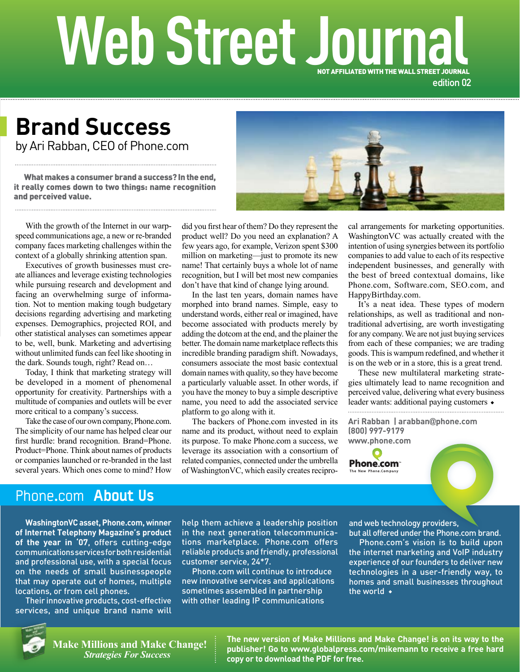# **Web Street Journal**  NOT AFFILIATED WITH THE WALL STREET JOURNAL

edition 02

by Ari Rabban, CEO of Phone.com **Brand Success**

What makes a consumer brand a success? In the end, and perceived value.

With the growth of the Internet in our warpspeed communications age, a new or re-branded company faces marketing challenges within the context of a globally shrinking attention span.

Executives of growth businesses must create alliances and leverage existing technologies while pursuing research and development and facing an overwhelming surge of information. Not to mention making tough budgetary decisions regarding advertising and marketing expenses. Demographics, projected ROI, and other statistical analyses can sometimes appear to be, well, bunk. Marketing and advertising without unlimited funds can feel like shooting in the dark. Sounds tough, right? Read on… **What makes a consumer brand a success? In the end,**<br>it **really comes down to two things: name recognition**<br>and **perceived value.**<br>With the growth of the Internet in our warp-<br>speed communications age, a new or re-branded

Today, I think that marketing strategy will be developed in a moment of phenomenal opportunity for creativity. Partnerships with a multitude of companies and outlets will be ever more critical to a company's success.

Take the case of our own company, Phone.com. The simplicity of our name has helped clear our first hurdle: brand recognition. Brand=Phone. Product=Phone. Think about names of products or companies launched or re-branded in the last several years. Which ones come to mind? How

did you first hear of them? Do they represent the product well? Do you need an explanation? A few years ago, for example, Verizon spent \$300 million on marketing—just to promote its new name! That certainly buys a whole lot of name recognition, but I will bet most new companies don't have that kind of change lying around.

In the last ten years, domain names have morphed into brand names. Simple, easy to understand words, either real or imagined, have become associated with products merely by adding the dotcom at the end, and the plainer the better. The domain name marketplace reflects this incredible branding paradigm shift. Nowadays, consumers associate the most basic contextual domain names with quality, so they have become a particularly valuable asset. In other words, if you have the money to buy a simple descriptive name, you need to add the associated service platform to go along with it.

The backers of Phone.com invested in its name and its product, without need to explain its purpose. To make Phone.com a success, we leverage its association with a consortium of related companies, connected under the umbrella of WashingtonVC, which easily creates recipro-

cal arrangements for marketing opportunities. WashingtonVC was actually created with the intention of using synergies between its portfolio companies to add value to each of its respective independent businesses, and generally with the best of breed contextual domains, like Phone.com, Software.com, SEO.com, and HappyBirthday.com.

It's a neat idea. These types of modern relationships, as well as traditional and nontraditional advertising, are worth investigating for any company. We are not just buying services from each of these companies; we are trading goods. This is wampum redefined, and whether it is on the web or in a store, this is a great trend.

These new multilateral marketing strategies ultimately lead to name recognition and perceived value, delivering what every business leader wants: additional paying customers

**Ari Rabban | arabban**@**phone.com (800) 997-9179 www.phone.com**



### Phone.com About Us

**WashingtonVC asset, Phone.com, winner of Internet Telephony Magazine's product of the year in '07**, offers cutting-edge communications services for both residential and professional use, with a special focus on the needs of small businesspeople that may operate out of homes, multiple locations, or from cell phones.

Their innovative products, cost-effective services, and unique brand name will

help them achieve a leadership position in the next generation telecommunications marketplace. Phone.com offers reliable products and friendly, professional customer service, 24\*7.

Phone.com will continue to introduce new innovative services and applications sometimes assembled in partnership with other leading IP communications

and web technology providers,

but all offered under the Phone.com brand. Phone.com's vision is to build upon the internet marketing and VoIP industry experience of our founders to deliver new technologies in a user-friendly way, to homes and small businesses throughout the world  $\rightarrow$ 



**Make Millions and Make Change!** *Strategies For Success*

**The new version of Make Millions and Make Change! is on its way to the publisher! Go to www.globalpress.com/mikemann to receive a free hard copy or to download the PDF for free.**

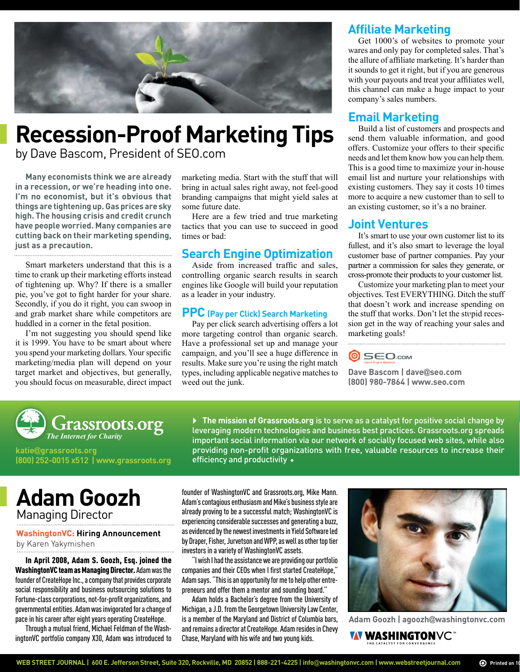

# **Recession-Proof Marketing Tips**

by Dave Bascom, President of SEO.com

**Many economists think we are already in a recession, or we're heading into one. I'm no economist, but it's obvious that things are tightening up. Gas prices are sky high. The housing crisis and credit crunch have people worried. Many companies are cutting back on their marketing spending, just as a precaution.**

Smart marketers understand that this is a time to crank up their marketing efforts instead of tightening up. Why? If there is a smaller pie, you've got to fight harder for your share. Secondly, if you do it right, you can swoop in and grab market share while competitors are

huddled in a corner in the fetal position. I'm not suggesting you should spend like it is 1999. You have to be smart about where you spend your marketing dollars. Your specific marketing/media plan will depend on your target market and objectives, but generally, you should focus on measurable, direct impact marketing media. Start with the stuff that will bring in actual sales right away, not feel-good branding campaigns that might yield sales at some future date.

Here are a few tried and true marketing tactics that you can use to succeed in good times or bad:

#### **Search Engine Optimization**

Aside from increased traffic and sales, controlling organic search results in search engines like Google will build your reputation as a leader in your industry.

#### **PPC (Pay per Click) Search Marketing**

Pay per click search advertising offers a lot more targeting control than organic search. Have a professional set up and manage your campaign, and you'll see a huge difference in results. Make sure you're using the right match types, including applicable negative matches to weed out the junk.

#### **Affiliate Marketing**

Get 1000's of websites to promote your wares and only pay for completed sales. That's the allure of affiliate marketing. It's harder than it sounds to get it right, but if you are generous with your payouts and treat your affiliates well, this channel can make a huge impact to your company's sales numbers.

#### **Email Marketing**

Build a list of customers and prospects and send them valuable information, and good offers. Customize your offers to their specific needs and let them know how you can help them. This is a good time to maximize your in-house email list and nurture your relationships with existing customers. They say it costs 10 times more to acquire a new customer than to sell to an existing customer, so it's a no brainer.

#### **Joint Ventures**

It's smart to use your own customer list to its fullest, and it's also smart to leverage the loyal customer base of partner companies. Pay your partner a commission for sales they generate, or cross-promote their products to your customer list.

Customize your marketing plan to meet your objectives. Test EVERYTHING. Ditch the stuff that doesn't work and increase spending on the stuff that works. Don't let the stupid recession get in the way of reaching your sales and marketing goals!



**Dave Bascom | dave**@**seo.com (800) 980-7864 | www.seo.com**



**katie**@**grassroots.org (800) 252-0015 x512 | www.grassroots.org** 

**The mission of Grassroots.org** is to serve as a catalyst for positive social change by leveraging modern technologies and business best practices. Grassroots.org spreads important social information via our network of socially focused web sites, while also providing non-profit organizations with free, valuable resources to increase their efficiency and productivity

**Adam Goozh** Managing Director

#### **WashingtonVC: Hiring Announcement** by Karen Yakymishen

In April 2008, Adam S. Goozh, Esq. joined the WashingtonVC team as Managing Director. Adam was the founder of CreateHope Inc., a company that provides corporate social responsibility and business outsourcing solutions to Fortune-class corporations, not-for-profit organizations, and governmental entities. Adam was invigorated for a change of pace in his career after eight years operating CreateHope.

Through a mutual friend, Michael Feldman of the WashingtonVC portfolio company X30, Adam was introduced to

founder of WashingtonVC and Grassroots.org, Mike Mann. Adam's contagious enthusiasm and Mike's business style are already proving to be a successful match; WashingtonVC is experiencing considerable successes and generating a buzz, as evidenced by the newest investments in Yield Software led by Draper, Fisher, Jurvetson and WPP, as well as other top tier investors in a variety of WashingtonVC assets.

"I wish I had the assistance we are providing our portfolio companies and their CEOs when I first started CreateHope," Adam says. "This is an opportunity for me to help other entrepreneurs and offer them a mentor and sounding board."

Adam holds a Bachelor's degree from the University of Michigan, a J.D. from the Georgetown University Law Center, is a member of the Maryland and District of Columbia bars, and remains a director at CreateHope. Adam resides in Chevy Chase, Maryland with his wife and two young kids.



**Adam Goozh | agoozh**@**washingtonvc.com** 

**WASHINGTONVC** TM